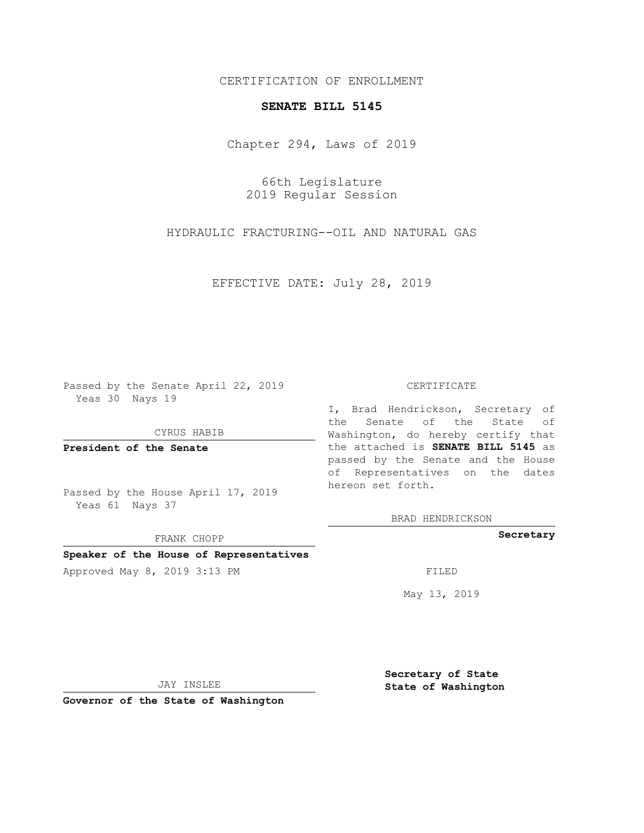# CERTIFICATION OF ENROLLMENT

### **SENATE BILL 5145**

Chapter 294, Laws of 2019

66th Legislature 2019 Regular Session

HYDRAULIC FRACTURING--OIL AND NATURAL GAS

EFFECTIVE DATE: July 28, 2019

Passed by the Senate April 22, 2019 Yeas 30 Nays 19

CYRUS HABIB

**President of the Senate**

Passed by the House April 17, 2019 Yeas 61 Nays 37

FRANK CHOPP

# **Speaker of the House of Representatives**

Approved May 8, 2019 3:13 PM FILED

#### CERTIFICATE

I, Brad Hendrickson, Secretary of the Senate of the State of Washington, do hereby certify that the attached is **SENATE BILL 5145** as passed by the Senate and the House of Representatives on the dates hereon set forth.

BRAD HENDRICKSON

**Secretary**

May 13, 2019

JAY INSLEE

**Governor of the State of Washington**

**Secretary of State State of Washington**